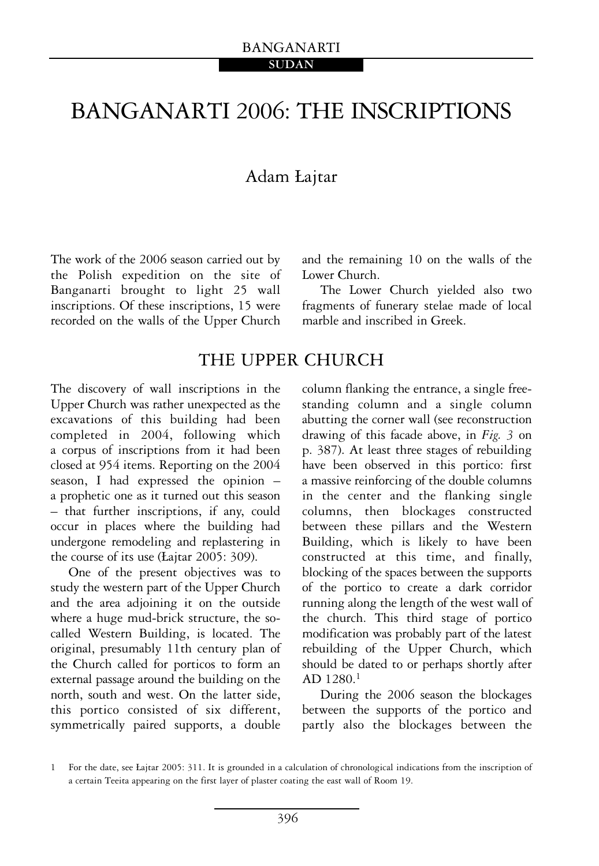# BANGANARTI 2006: THE INSCRIPTIONS

# Adam £ajtar

The work of the 2006 season carried out by the Polish expedition on the site of Banganarti brought to light 25 wall inscriptions. Of these inscriptions, 15 were recorded on the walls of the Upper Church and the remaining 10 on the walls of the Lower Church.

The Lower Church yielded also two fragments of funerary stelae made of local marble and inscribed in Greek.

# THE UPPER CHURCH

The discovery of wall inscriptions in the Upper Church was rather unexpected as the excavations of this building had been completed in 2004, following which a corpus of inscriptions from it had been closed at 954 items. Reporting on the 2004 season, I had expressed the opinion – a prophetic one as it turned out this season – that further inscriptions, if any, could occur in places where the building had undergone remodeling and replastering in the course of its use (£ajtar 2005: 309).

One of the present objectives was to study the western part of the Upper Church and the area adjoining it on the outside where a huge mud-brick structure, the socalled Western Building, is located. The original, presumably 11th century plan of the Church called for porticos to form an external passage around the building on the north, south and west. On the latter side, this portico consisted of six different, symmetrically paired supports, a double

column flanking the entrance, a single freestanding column and a single column abutting the corner wall (see reconstruction drawing of this facade above, in *Fig. 3* on p. 387). At least three stages of rebuilding have been observed in this portico: first a massive reinforcing of the double columns in the center and the flanking single columns, then blockages constructed between these pillars and the Western Building, which is likely to have been constructed at this time, and finally, blocking of the spaces between the supports of the portico to create a dark corridor running along the length of the west wall of the church. This third stage of portico modification was probably part of the latest rebuilding of the Upper Church, which should be dated to or perhaps shortly after AD 1280.1

During the 2006 season the blockages between the supports of the portico and partly also the blockages between the

<sup>1</sup> For the date, see £ajtar 2005: 311. It is grounded in a calculation of chronological indications from the inscription of a certain Teeita appearing on the first layer of plaster coating the east wall of Room 19.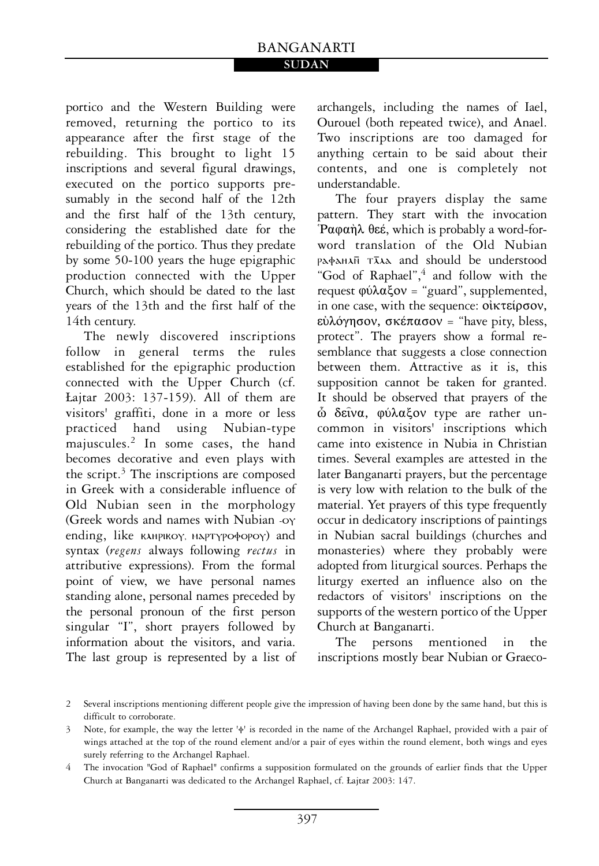### BANGANARTI **SUDAN**

portico and the Western Building were removed, returning the portico to its appearance after the first stage of the rebuilding. This brought to light 15 inscriptions and several figural drawings, executed on the portico supports presumably in the second half of the 12th and the first half of the 13th century, considering the established date for the rebuilding of the portico. Thus they predate by some 50-100 years the huge epigraphic production connected with the Upper Church, which should be dated to the last years of the 13th and the first half of the 14th century.

The newly discovered inscriptions follow in general terms the rules established for the epigraphic production connected with the Upper Church (cf. £ajtar 2003: 137-159). All of them are visitors' graffiti, done in a more or less practiced hand using Nubian-type majuscules.2 In some cases, the hand becomes decorative and even plays with the script.<sup>3</sup> The inscriptions are composed in Greek with a considerable influence of Old Nubian seen in the morphology (Greek words and names with Nubian -oy ending, like **KAHPIKOY, MAPTYPO** opoy) and syntax (*regens* always following *rectus* in attributive expressions). From the formal point of view, we have personal names standing alone, personal names preceded by the personal pronoun of the first person singular "I", short prayers followed by information about the visitors, and varia. The last group is represented by a list of archangels, including the names of Iael, Ourouel (both repeated twice), and Anael. Two inscriptions are too damaged for anything certain to be said about their contents, and one is completely not understandable.

The four prayers display the same pattern. They start with the invocation Pαφαήλ θεέ, which is probably a word-forword translation of the Old Nubian PAPAHAN TAA and should be understood "God of Raphael",<sup>4</sup> and follow with the request  $\phi\acute{u}\lambda\alpha\xi$ ov = "guard", supplemented, in one case, with the sequence:  $o$ ikteipoov, εὐλόγησον, σκέπασον = "have pity, bless, protect". The prayers show a formal resemblance that suggests a close connection between them. Attractive as it is, this supposition cannot be taken for granted. It should be observed that prayers of the ὦ δεῖνα, φύλαξον type are rather uncommon in visitors' inscriptions which came into existence in Nubia in Christian times. Several examples are attested in the later Banganarti prayers, but the percentage is very low with relation to the bulk of the material. Yet prayers of this type frequently occur in dedicatory inscriptions of paintings in Nubian sacral buildings (churches and monasteries) where they probably were adopted from liturgical sources. Perhaps the liturgy exerted an influence also on the redactors of visitors' inscriptions on the supports of the western portico of the Upper Church at Banganarti.

The persons mentioned in the inscriptions mostly bear Nubian or Graeco-

<sup>2</sup> Several inscriptions mentioning different people give the impression of having been done by the same hand, but this is difficult to corroborate.

<sup>3</sup> Note, for example, the way the letter 'f' is recorded in the name of the Archangel Raphael, provided with a pair of wings attached at the top of the round element and/or a pair of eyes within the round element, both wings and eyes surely referring to the Archangel Raphael.

<sup>4</sup> The invocation "God of Raphael" confirms a supposition formulated on the grounds of earlier finds that the Upper Church at Banganarti was dedicated to the Archangel Raphael, cf. £ajtar 2003: 147.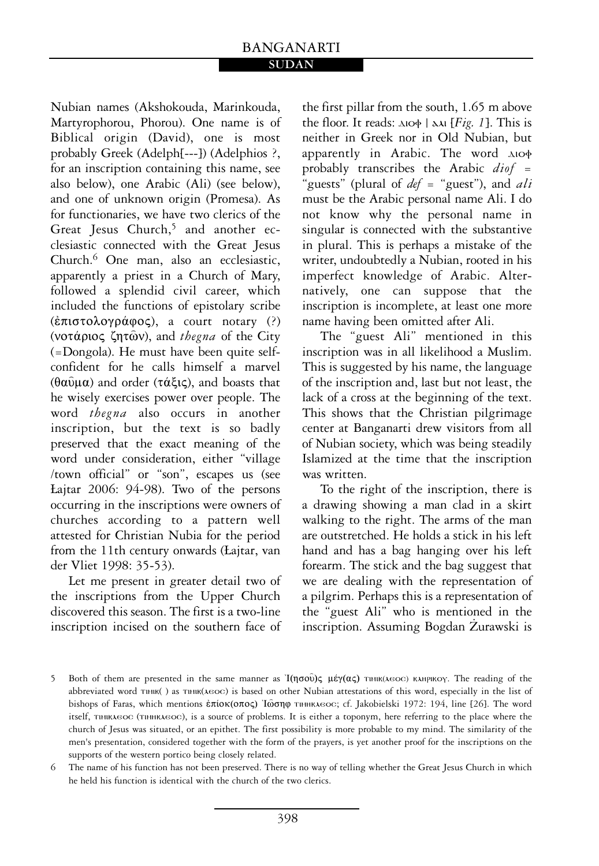# BANGANARTI

#### **SUDAN**

Nubian names (Akshokouda, Marinkouda, Martyrophorou, Phorou). One name is of Biblical origin (David), one is most probably Greek (Adelph[---]) (Adelphios ?, for an inscription containing this name, see also below), one Arabic (Ali) (see below), and one of unknown origin (Promesa). As for functionaries, we have two clerics of the Great Jesus Church,<sup>5</sup> and another ecclesiastic connected with the Great Jesus Church.6 One man, also an ecclesiastic, apparently a priest in a Church of Mary, followed a splendid civil career, which included the functions of epistolary scribe  $(\hat{\varepsilon}\pi \iota \sigma \tau o \lambda o \gamma \rho \dot{\alpha} \phi o \varsigma)$ , a court notary (?) (νοτάριος ζητῶν), and *thegna* of the City (=Dongola). He must have been quite selfconfident for he calls himself a marvel  $(\theta \alpha \hat{\nu} \mu \alpha)$  and order ( $\tau \dot{\alpha} \xi$ iς), and boasts that he wisely exercises power over people. The word *thegna* also occurs in another inscription, but the text is so badly preserved that the exact meaning of the word under consideration, either "village /town official" or "son", escapes us (see £ajtar 2006: 94-98). Two of the persons occurring in the inscriptions were owners of churches according to a pattern well attested for Christian Nubia for the period from the 11th century onwards (£ajtar, van der Vliet 1998: 35-53).

Let me present in greater detail two of the inscriptions from the Upper Church discovered this season. The first is a two-line inscription incised on the southern face of the first pillar from the south, 1.65 m above the floor. It reads:  $\Delta I \sim [Fig. 1]$ . This is neither in Greek nor in Old Nubian, but apparently in Arabic. The word  $\Delta I$ probably transcribes the Arabic *diof* = "guests" (plural of *def* = "guest"), and *ali* must be the Arabic personal name Ali. I do not know why the personal name in singular is connected with the substantive in plural. This is perhaps a mistake of the writer, undoubtedly a Nubian, rooted in his imperfect knowledge of Arabic. Alternatively, one can suppose that the inscription is incomplete, at least one more name having been omitted after Ali.

The "guest Ali" mentioned in this inscription was in all likelihood a Muslim. This is suggested by his name, the language of the inscription and, last but not least, the lack of a cross at the beginning of the text. This shows that the Christian pilgrimage center at Banganarti drew visitors from all of Nubian society, which was being steadily Islamized at the time that the inscription was written.

To the right of the inscription, there is a drawing showing a man clad in a skirt walking to the right. The arms of the man are outstretched. He holds a stick in his left hand and has a bag hanging over his left forearm. The stick and the bag suggest that we are dealing with the representation of a pilgrim. Perhaps this is a representation of the "guest Ali" who is mentioned in the inscription. Assuming Bogdan Zurawski is

<sup>5</sup> Both of them are presented in the same manner as  $I(\eta\sigma o\hat{v})$ ;  $\mu \not\in \gamma(\alpha\varsigma)$  Thuk( $\lambda \in \sigma$ ) KMPIKOY. The reading of the abbreviated word TIHIK( ) as TIHIK( $\lambda$ EOC) is based on other Nubian attestations of this word, especially in the list of bishops of Faras, which mentions έπίοκ(οπος) Ιώσηφ τιμηκλεος; cf. Jakobielski 1972: 194, line [26]. The word itself, timikleos (timhkleos), is a source of problems. It is either a toponym, here referring to the place where the church of Jesus was situated, or an epithet. The first possibility is more probable to my mind. The similarity of the men's presentation, considered together with the form of the prayers, is yet another proof for the inscriptions on the supports of the western portico being closely related.

<sup>6</sup> The name of his function has not been preserved. There is no way of telling whether the Great Jesus Church in which he held his function is identical with the church of the two clerics.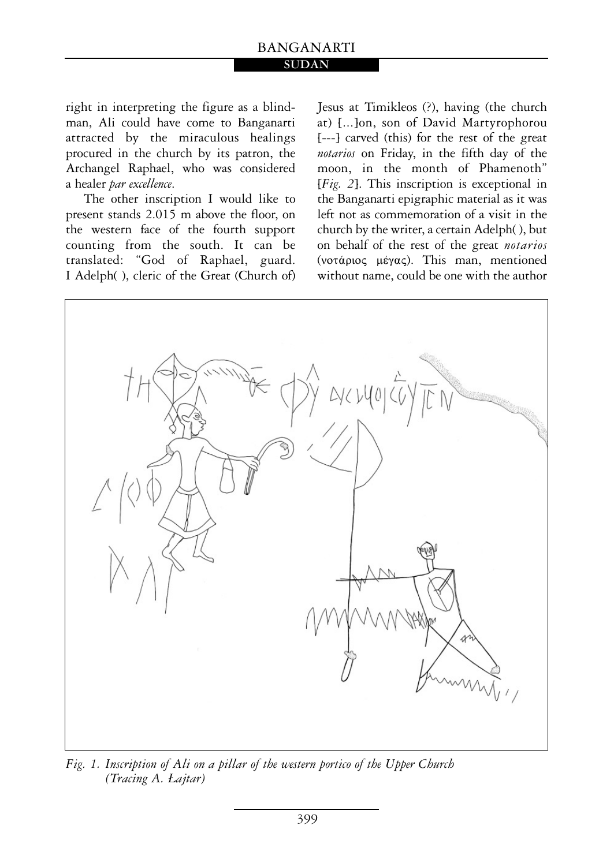### BANGANARTI **SUDAN**

right in interpreting the figure as a blindman, Ali could have come to Banganarti attracted by the miraculous healings procured in the church by its patron, the Archangel Raphael, who was considered a healer *par excellence*.

The other inscription I would like to present stands 2.015 m above the floor, on the western face of the fourth support counting from the south. It can be translated: "God of Raphael, guard. I Adelph( ), cleric of the Great (Church of) Jesus at Timikleos (?), having (the church at) [...]on, son of David Martyrophorou [---] carved (this) for the rest of the great *notarios* on Friday, in the fifth day of the moon, in the month of Phamenoth" [*Fig. 2*]. This inscription is exceptional in the Banganarti epigraphic material as it was left not as commemoration of a visit in the church by the writer, a certain Adelph( ), but on behalf of the rest of the great *notarios* (votápios  $\mu \notin \gamma \alpha \varsigma$ ). This man, mentioned without name, could be one with the author



*Fig. 1. Inscription of Ali on a pillar of the western portico of the Upper Church (Tracing A.* £ajtar*)*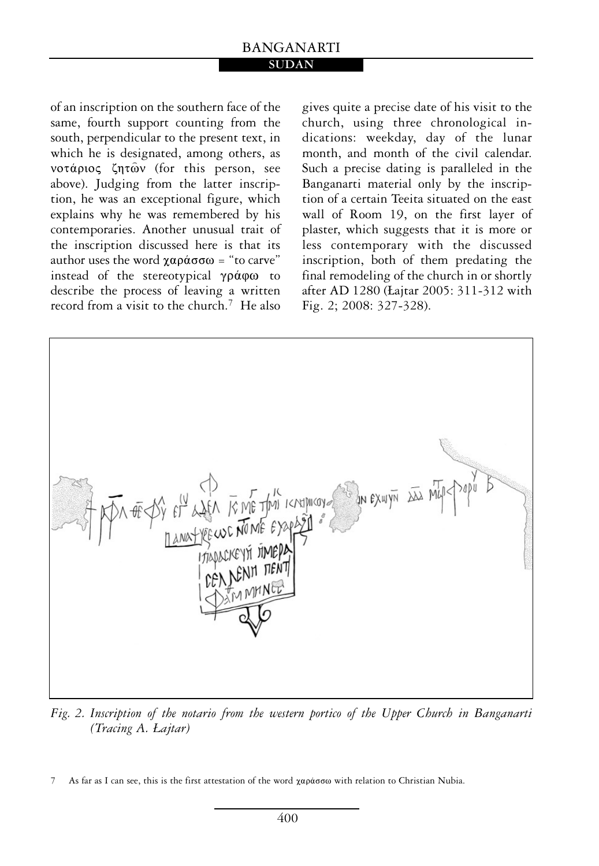## BANGANARTI

#### **SUDAN**

of an inscription on the southern face of the same, fourth support counting from the south, perpendicular to the present text, in which he is designated, among others, as νοτάριος ζητών (for this person, see above). Judging from the latter inscription, he was an exceptional figure, which explains why he was remembered by his contemporaries. Another unusual trait of the inscription discussed here is that its author uses the word  $\chi \alpha \rho \dot{\alpha} \sigma \omega$  = "to carve" instead of the stereotypical  $\gamma \rho \dot{\alpha} \varphi \omega$  to describe the process of leaving a written record from a visit to the church.7 He also

gives quite a precise date of his visit to the church, using three chronological indications: weekday, day of the lunar month, and month of the civil calendar. Such a precise dating is paralleled in the Banganarti material only by the inscription of a certain Teeita situated on the east wall of Room 19, on the first layer of plaster, which suggests that it is more or less contemporary with the discussed inscription, both of them predating the final remodeling of the church in or shortly after AD 1280 (£ajtar 2005: 311-312 with Fig. 2; 2008: 327-328).



*Fig. 2. Inscription of the notario from the western portico of the Upper Church in Banganarti (Tracing A.* £ajtar*)* 

<sup>7</sup> As far as I can see, this is the first attestation of the word  $\chi a \rho \dot{a} \sigma \sigma \omega$  with relation to Christian Nubia.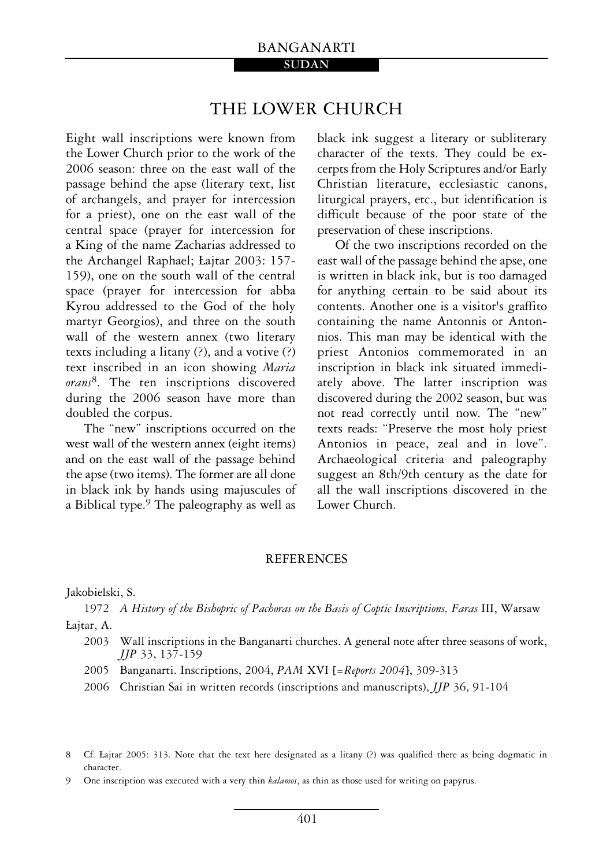#### BANGANARTI **SUDAN**

## THE LOWER CHURCH

Eight wall inscriptions were known from the Lower Church prior to the work of the 2006 season: three on the east wall of the passage behind the apse (literary text, list of archangels, and prayer for intercession for a priest), one on the east wall of the central space (prayer for intercession for a King of the name Zacharias addressed to the Archangel Raphael; £ajtar 2003: 157- 159), one on the south wall of the central space (prayer for intercession for abba Kyrou addressed to the God of the holy martyr Georgios), and three on the south wall of the western annex (two literary texts including a litany (?), and a votive (?) text inscribed in an icon showing *Maria orans*8. The ten inscriptions discovered during the 2006 season have more than doubled the corpus.

The "new" inscriptions occurred on the west wall of the western annex (eight items) and on the east wall of the passage behind the apse (two items). The former are all done in black ink by hands using majuscules of a Biblical type.<sup>9</sup> The paleography as well as

black ink suggest a literary or subliterary character of the texts. They could be excerpts from the Holy Scriptures and/or Early Christian literature, ecclesiastic canons, liturgical prayers, etc., but identification is difficult because of the poor state of the preservation of these inscriptions.

Of the two inscriptions recorded on the east wall of the passage behind the apse, one is written in black ink, but is too damaged for anything certain to be said about its contents. Another one is a visitor's graffito containing the name Antonnis or Antonnios. This man may be identical with the priest Antonios commemorated in an inscription in black ink situated immediately above. The latter inscription was discovered during the 2002 season, but was not read correctly until now. The "new" texts reads: "Preserve the most holy priest Antonios in peace, zeal and in love". Archaeological criteria and paleography suggest an 8th/9th century as the date for all the wall inscriptions discovered in the Lower Church.

#### REFERENCES

Jakobielski, S.

1972 A History of the Bishopric of Pachoras on the Basis of Coptic Inscriptions, Faras III, Warsaw £ajtar, A.

- 2003 Wall inscriptions in the Banganarti churches. A general note after three seasons of work, JJP 33, 137-159
- 2005 Banganarti. Inscriptions, 2004, PAM XVI [= Reports 2004], 309-313
- 2006 Christian Sai in written records (inscriptions and manuscripts), JJP 36, 91-104

<sup>8</sup> Cf. £ajtar 2005: 313. Note that the text here designated as a litany (?) was qualified there as being dogmatic in character.

<sup>9</sup> One inscription was executed with a very thin kalamos, as thin as those used for writing on papyrus.